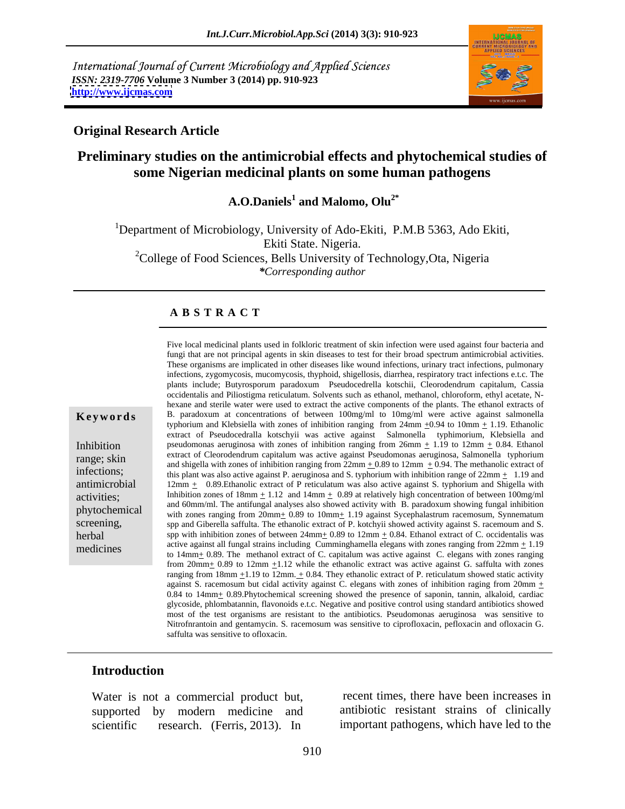International Journal of Current Microbiology and Applied Sciences *ISSN: 2319-7706* **Volume 3 Number 3 (2014) pp. 910-923 <http://www.ijcmas.com>**



### **Original Research Article**

## **Preliminary studies on the antimicrobial effects and phytochemical studies of some Nigerian medicinal plants on some human pathogens**

A.O.Daniels<sup>1</sup> and Malomo, Olu<sup>2\*</sup> **and Malomo, Olu2\***

<sup>1</sup>Department of Microbiology, University of Ado-Ekiti, P.M.B 5363, Ado Ekiti, Ekiti State. Nigeria. <sup>2</sup>College of Food Sciences, Bells University of Technology, Ota, Nigeria *\*Corresponding author*

### **A B S T R A C T**

**Keywords** B. paradoxum at concentrations of between 100mg/ml to 10mg/ml were active against salmonella Inhibition pseudomonas aeruginosa with zones of inhibition ranging from  $26mm \pm 1.19$  to  $12mm \pm 0.84$ . Ethanol extract of Cleorodendrum capitalum was active against Pseudomonas aeruginosa, Salmonella typhorium<br>end shipple with zones of inhibition renging from 22mm + 0.80 to 12mm + 0.04. The methenolic extrect of infections;<br>this plant was also active against P. aeruginosa and S. typhorium with inhibition range of  $22mm \pm 1.19$  and antimicrobial 12mm  $\pm$  0.89. Ethanolic extract of P reticulatum was also active against S. typhorium and Shigella with activities;<br>activities;<br>and  $\frac{1}{2}$  and  $\frac{1}{2}$  and  $\frac{1}{2}$  and  $\frac{1}{2}$  and  $\frac{1}{2}$  and  $\frac{1}{2}$  and  $\frac{1}{2}$  and  $\frac{1}{2}$  and  $\frac{1}{2}$  and  $\frac{1}{2}$  and  $\frac{1}{2}$  and  $\frac{1}{2}$  and  $\frac{1}{2}$  and  $\frac{1}{2}$  a phytochemical and communities and analysis also showed activity with D. paradoxum showing rungar inhoriton<br>with zones ranging from 20mm+ 0.89 to 10mm+ 1.19 against Sycephalastrum racemosum, Synnematum screening, spp and Giberella saffulta. The ethanolic extract of P. kotchyii showed activity against S. racemoum and S. herbal spp with inhibition zones of between  $24 \text{mm} + 0.89$  to  $12 \text{mm} + 0.84$ . Ethanol extract of C. occidentalis was medicines<br>to  $14\text{mm}$  to  $14\text{mm}$  and  $10\text{mm}$  are methanol extract of C. capitalum was active against C. elegans with zones ranging Five local medicinal plants used in folkloric treatment of skin infection were used against four bacteria and fungi that are not principal agents in skin diseases to test for their broad spectrum antimicrobial activities. These organisms are implicated in other diseases like wound infections, urinary tract infections, pulmonary infections, zygomycosis, mucomycosis, thyphoid, shigellosis, diarrhea, respiratory tract infections e.t.c. The plants include; Butyrosporum paradoxum Pseudocedrella kotschii, Cleorodendrum capitalum, Cassia occidentalis and Piliostigma reticulatum. Solvents such as ethanol, methanol, chloroform, ethyl acetate, N hexane and sterile water were used to extract the active components of the plants. The ethanol extracts of typhorium and Klebsiella with zones of inhibition ranging from  $24 \text{mm} \pm 0.94$  to  $10 \text{mm} \pm 1.19$ . Ethanolic extract of Pseudocedralla kotschyii was active against Salmonella typhimorium, Klebsiella and and shigella with zones of inhibition ranging from  $22 \text{mm} + 0.89$  to  $12 \text{mm} + 0.94$ . The methanolic extract of and 60mm/ml. The antifungal analyses also showed activity with B. paradoxum showing fungal inhibition active against all fungal strains including Cumminghamella elegans with zones ranging from  $22 \text{mm} \pm 1.19$ from 20mm+ 0.89 to 12mm +1.12 while the ethanolic extract was active against G. saffulta with zones ranging from 18mm  $\pm$ 1.19 to 12mm.  $\pm$  0.84. They ethanolic extract of P. reticulatum showed static activity against S. racemosum but cidal activity against C. elegans with zones of inhibition raging from 20mm  $\pm$ 0.84 to 14mm+ 0.89.Phytochemical screening showed the presence of saponin, tannin, alkaloid, cardiac glycoside, phlombatannin, flavonoids e.t.c. Negative and positive control using standard antibiotics showed most of the test organisms are resistant to the antibiotics. Pseudomonas aeruginosa was sensitive to Nitrofnrantoin and gentamycin. S. racemosum was sensitive to ciprofloxacin, pefloxacin and ofloxacin G. saffulta was sensitive to ofloxacin.

### **Introduction**

Water is not a commercial product but, supported by modern medicine and antibiotic resistant strains of clinically scientific research. (Ferris, 2013). In important pathogens, which have led to the

recent times, there have been increases in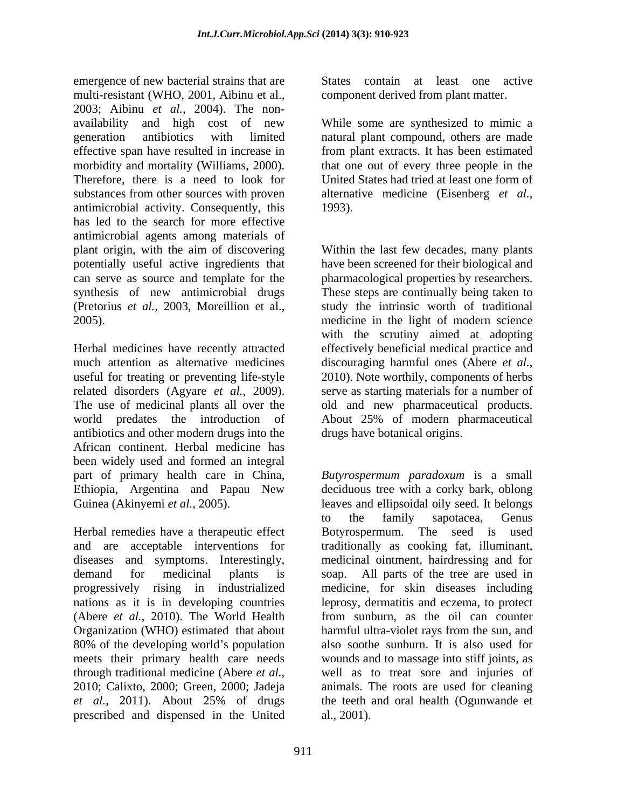emergence of new bacterial strains that are multi-resistant (WHO, 2001, Aibinu et al., component derived from plant matter. 2003; Aibinu *et al.*, 2004). The non availability and high cost of new While some are synthesized to mimic a generation antibiotics with limited natural plant compound, others are made effective span have resulted in increase in from plant extracts. It has been estimated morbidity and mortality (Williams, 2000). Therefore, there is a need to look for United States had tried at least one form of substances from other sources with proven alternative medicine (Eisenberg *et al.*, antimicrobial activity. Consequently, this has led to the search for more effective antimicrobial agents among materials of plant origin, with the aim of discovering Within the last few decades, many plants potentially useful active ingredients that have been screened for their biological and can serve as source and template for the pharmacological properties by researchers. synthesis of new antimicrobial drugs These steps are continually being taken to (Pretorius *et al.,* 2003, Moreillion et al., study the intrinsic worth of traditional 2005). medicine in the light of modern science

Herbal medicines have recently attracted effectively beneficial medical practice and much attention as alternative medicines discouraging harmful ones (Abere et al., useful for treating or preventing life-style 2010). Note worthily, components of herbs related disorders (Agyare *et al.*, 2009). The use of medicinal plants all over the old and new pharmaceutical products. world predates the introduction of About 25% of modern pharmaceutical antibiotics and other modern drugs into the African continent. Herbal medicine has been widely used and formed an integral

Herbal remedies have a therapeutic effect Botyrospermum. The seed is used and are acceptable interventions for traditionally as cooking fat, illuminant, diseases and symptoms. Interestingly, medicinal ointment, hairdressing and for demand for medicinal plants is soap. All parts of the tree are used in progressively rising in industrialized medicine, for skin diseases including nations as it is in developing countries leprosy, dermatitis and eczema, to protect (Abere *et al.*, 2010). The World Health from sunburn, as the oil can counter Organization (WHO) estimated that about 80% of the developing world's population<br>meets their primary health care needs meets their primary health care needs wounds and to massage into stiff joints, as through traditional medicine (Abere *et al.*, well as to treat sore and injuries of 2010; Calixto, 2000; Green, 2000; Jadeja animals. The roots are used for cleaning *et al.*, 2011). About 25% of drugs prescribed and dispensed in the United

States contain at least one active

component derived from plant matter. While some are synthesized to mimic <sup>a</sup> that one out of every three people in the alternative medicine (Eisenberg *et al.*, 1993).

with the scrutiny aimed at adopting discouraging harmful ones (Abere *et al.*, 2010). Note worthily, components of herbs serve as starting materials for a number of About 25% of modern pharmaceutical drugs have botanical origins.

part of primary health care in China, *Butyrospermum paradoxum* is a small Ethiopia, Argentina and Papau New deciduous tree with a corky bark, oblong Guinea (Akinyemi *et al.*, 2005). leaves and ellipsoidal oily seed. It belongs to the family sapotacea, Genus harmful ultra-violet rays from the sun, and also soothe sunburn. It is also used for well as to treat sore and injuries of animals. The roots are used for cleaning the teeth and oral health (Ogunwande et al., 2001).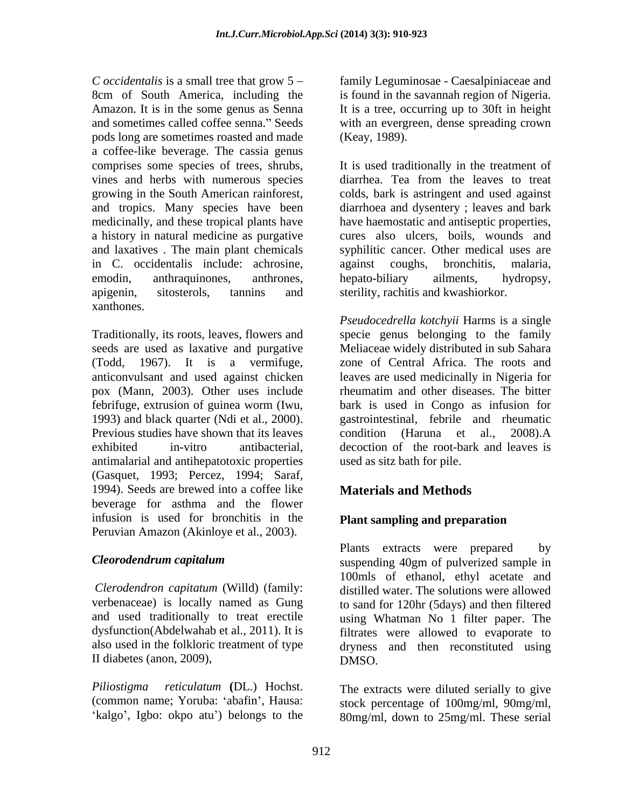*C occidentalis* is a small tree that grow 5 family Leguminosae - Caesalpiniaceae and 8cm of South America, including the Amazon. It is in the some genus as Senna It is a tree, occurring up to 30ft in height and sometimes called coffee senna." Seeds with an evergreen, dense spreading crown pods long are sometimes roasted and made a coffee-like beverage. The cassia genus vines and herbs with numerous species a history in natural medicine as purgative and laxatives . The main plant chemicals in C. occidentalis include: achrosine, xanthones.

Traditionally, its roots, leaves, flowers and pox (Mann, 2003). Other uses include rheumatim and other diseases. The bitter Previous studies have shown that its leaves condition (Haruna et al., 2008).A antimalarial and antihepatotoxic properties (Gasquet, 1993; Percez, 1994; Saraf, 1994). Seeds are brewed into a coffee like **Materials and Methods** beverage for asthma and the flower infusion is used for bronchitis in the Peruvian Amazon (Akinloye et al., 2003).

II diabetes (anon, 2009),

*Piliostigma reticulatum* **(**DL.) Hochst. The extracts were diluted serially to give 'kalgo', Igbo: okpo atu') belongs to the

is found in the savannah region of Nigeria. (Keay, 1989).

comprises some species of trees, shrubs, It is used traditionally in the treatment of growing in the South American rainforest, colds, bark is astringent and used against and tropics. Many species have been diarrhoea and dysentery ; leaves and bark medicinally, and these tropical plants have have haemostatic and antiseptic properties, emodin, anthraquinones, anthrones, hepato-biliary ailments, hydropsy, apigenin, sitosterols, tannins and sterility, rachitis and kwashiorkor. diarrhea. Tea from the leaves to treat cures also ulcers, boils, wounds and syphilitic cancer. Other medical uses are against coughs, hepato-biliary ailments, hydropsy,

seeds are used as laxative and purgative Meliaceae widely distributed in sub Sahara (Todd, 1967). It is a vermifuge, zone of Central Africa. The roots and anticonvulsant and used against chicken leaves are used medicinally in Nigeriafor febrifuge, extrusion of guinea worm (Iwu, bark is used in Congo as infusion for 1993) and black quarter (Ndi et al., 2000). gastrointestinal, febrile and rheumatic exhibited in-vitro antibacterial, decoction of the root-bark and leaves is *Pseudocedrella kotchyii* Harms is a single specie genus belonging to the family rheumatim and other diseases. The bitter condition (Haruna et al., 2008).A used as sitz bath for pile.

# **Materials and Methods**

## **Plant sampling and preparation**

*Cleorodendrum capitalum* suspending 40gm of pulverized sample in *Clerodendron capitatum* (Willd) (family: distilled water. The solutions were allowed verbenaceae) is locally named as Gung to sand for 120hr (5days) and then filtered and used traditionally to treat erectile using Whatman No 1 filter paper. The dysfunction(Abdelwahab et al., 2011). It is filtrates were allowed to evaporate to also used in the folkloric treatment of type dryness and then reconstituted using Plants extracts were prepared by 100mls of ethanol, ethyl acetate and DMSO.

(common name; Yoruba: 'abafin', Hausa: stock percentage of 100mg/ml, 90mg/ml, 80mg/ml, down to 25mg/ml. These serial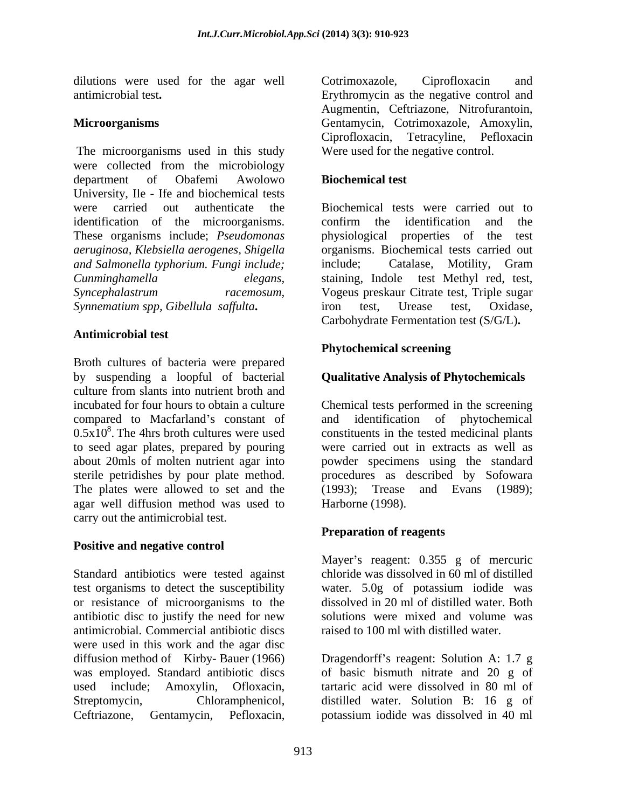dilutions were used for the agar well Cotrimoxazole, Ciprofloxacin and

The microorganisms used in this study were collected from the microbiology department of Obafemi Awolowo **Biochemical test** University, Ile - Ife and biochemical tests<br>were carried out authenticate the identification of the microorganisms. These organisms include; *Pseudomonas aeruginosa, Klebsiella aerogenes, Shigella and Salmonella typhorium. Fungi include; Synnematium spp, Gibellula saffulta***.** dilutions were used for the agar well Centrifuctions (Equivarian and Microscophesical Celtricazole, Centricoxical Celtricazole, Nieolectricazole, Nieolectricazole, Nieolectricazole, Nieolectricazole, Amerylin, The microsc

### **Antimicrobial test**

Broth cultures of bacteria were prepared by suspending a loopful of bacterial culture from slants into nutrient broth and incubated for four hours to obtain a culture Chemical tests performed in the screening compared to Macfarland's constant of and identification of phytochemical  $0.5x10<sup>8</sup>$ . The 4hrs broth cultures were used constituents in the tested medicinal plants to seed agar plates, prepared by pouring were carried out in extracts as well as about 20mls of molten nutrient agar into powder specimens using the standard sterile petridishes by pour plate method. The plates were allowed to set and the (1993); agar well diffusion method was used to carry out the antimicrobial test.

### **Positive and negative control**

Standard antibiotics were tested against test organisms to detect the susceptibility water. 5.0g of potassium iodide was or resistance of microorganisms to the antibiotic disc to justify the need for new antimicrobial. Commercial antibiotic discs were used in this work and the agar disc diffusion method of Kirby- Bauer (1966) Dragendorff s reagent: Solution A: 1.7 g was employed. Standard antibiotic discs of basic bismuth nitrate and 20 g of used include; Amoxylin, Ofloxacin, tartaric acid were dissolved in 80 ml of Streptomycin, Chloramphenicol, distilled water. Solution B: 16 g of

antimicrobial test**.** Erythromycin as the negative control and **Microorganisms** Gentamycin, Cotrimoxazole, Amoxylin, Augmentin, Ceftriazone, Nitrofurantoin, Ciprofloxacin, Tetracyline, Pefloxacin Were used for the negative control.

### **Biochemical test**

were carried out authenticate the Biochemical tests were carried out to *Cunminghamella elegans,* staining, Indole test Methyl red, test, *Syncephalastrum racemosum,* Vogeus preskaur Citrate test, Triple sugar confirm the identification and the physiological properties of the test organisms. Biochemical tests carried out include; Catalase, Motility, Gram iron test, Urease test, Oxidase, Carbohydrate Fermentation test (S/G/L)**.**

### **Phytochemical screening**

## **Qualitative Analysis of Phytochemicals**

procedures as described by Sofowara Trease and Evans (1989); Harborne (1998).

## **Preparation of reagents**

Mayer's reagent:  $0.355$  g of mercuric chloride was dissolved in 60 ml of distilled dissolved in 20 ml of distilled water. Both solutions were mixed and volume was raised to 100 ml with distilled water.

potassium iodide was dissolved in 40 ml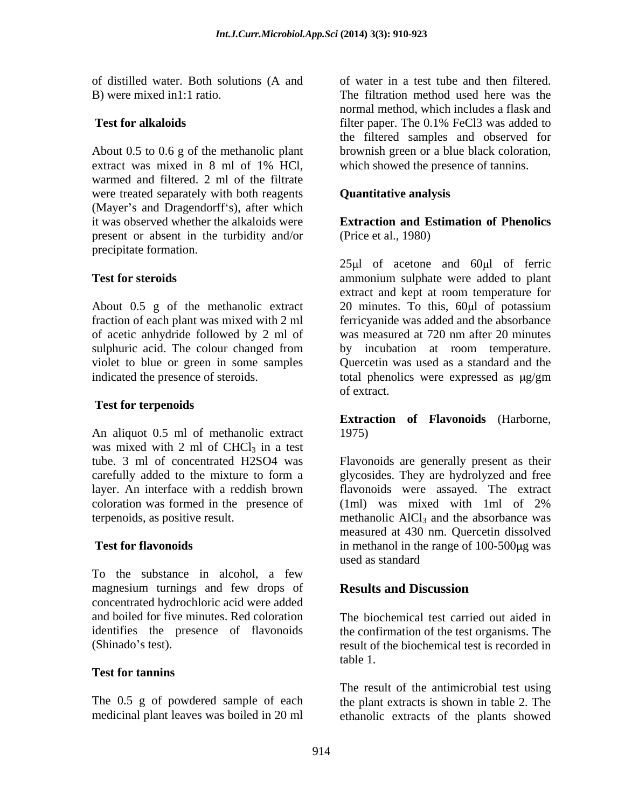of distilled water. Both solutions (A and

About 0.5 to 0.6 g of the methanolic plant extract was mixed in 8 ml of 1% HCl, which showed the presence of tannins. warmed and filtered. 2 ml of the filtrate were treated separately with both reagents **Quantitative analysis** (Mayer's and Dragendorff's), after which it was observed whether the alkaloids were present or absent in the turbidity and/or precipitate formation.

About 0.5 g of the methanolic extract  $20$  minutes. To this, 60 $\mu$ l of potassium indicated the presence of steroids. total phenolics were expressed as  $\mu$ g/gm

### **Test for terpenoids**

An aliquot 0.5 ml of methanolic extract 1975) was mixed with 2 ml of  $CHCl<sub>3</sub>$  in a test<br>tube. 3 ml of concentrated H2SO4 was carefully added to the mixture to form a coloration was formed in the presence of (1ml) was mixed with 1ml of 2%

To the substance in alcohol, a few magnesium turnings and few drops of **Results and Discussion** concentrated hydrochloric acid were added

## **Test for tannins**

B) were mixed in1:1 ratio. The filtration method used here was the **Test for alkaloids** filter paper. The 0.1% FeCl3 was added to of water in a test tube and then filtered. normal method, which includes a flask and filter paper. The 0.1% FeCl3 was added to the filtered samples and observed for brownish green or a blue black coloration, which showed the presence of tannins.

# **Quantitative analysis**

**Extraction and Estimation of Phenolics** (Price et al., 1980)

**Test for steroids** ammonium sulphate were added to plant fraction of each plant was mixed with 2 ml ferricyanide was added and the absorbance of acetic anhydride followed by 2 ml of was measured at 720 nm after 20 minutes sulphuric acid. The colour changed from by incubation at room temperature. violet to blue or green in some samples Quercetin was used as a standard and the  $25 \mu l$  of acetone and  $60 \mu l$  of ferric extract and kept at room temperature for 20 minutes. To this,  $60\mu l$  of potassium total phenolics were expressed as  $\mu$ g/gm of extract.

### **Extraction of Flavonoids** (Harborne, 1975)

tube. 3 ml of concentrated H2SO4 was Flavonoids are generally present as their layer. An interface with a reddish brown flavonoids were assayed. The extract terpenoids, as positive result.  $\blacksquare$  methanolic  $\text{AlCl}_3$  and the absorbance was **Test for flavonoids** in methanol in the range of 100-500 kg was glycosides. They are hydrolyzed and free (1ml) was mixed with 1ml of 2% measured at 430 nm. Quercetin dissolved used as standard

# **Results and Discussion**

and boiled for five minutes. Red coloration The biochemical test carried out aided in identifies the presence of flavonoids the confirmation of the test organisms. The (Shinado's test). result of the biochemical test is recorded in table 1.

The 0.5 g of powdered sample of each the plant extracts is shown in table 2. The medicinal plant leaves was boiled in 20 ml ethanolic extracts of the plants showedThe result of the antimicrobial test using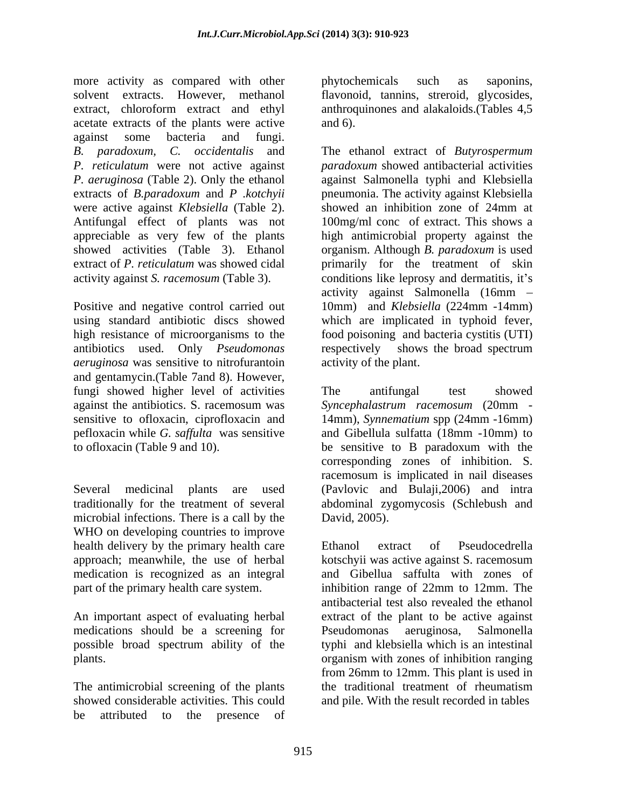more activity as compared with other phytochemicals such as saponins, solvent extracts. However, methanol flavonoid, tannins, streroid, glycosides, extract, chloroform extract and ethyl anthroquinones and alakaloids.(Tables 4,5 acetate extracts of the plants were active and 6). against some bacteria and fungi. *B. paradoxum, C. occidentalis* and The ethanol extract of *Butyrospermum P. reticulatum* were not active against *paradoxum* showed antibacterial activities *P. aeruginosa* (Table 2). Only the ethanol against Salmonella typhi and Klebsiella extracts of *B.paradoxum* and *P .kotchyii* pneumonia. The activity against Klebsiella were active against *Klebsiella* (Table 2). Antifungal effect of plants was not 100mg/ml conc of extract. This shows a appreciable as very few of the plants high antimicrobial property against the showed activities (Table 3). Ethanol organism. Although *B. paradoxum* is used extract of *P. reticulatum* was showed cidal primarily for the treatment of skin activity against *S. racemosum* (Table 3). conditions like leprosy and dermatitis, it's

*aeruginosa* was sensitive to nitrofurantoin and gentamycin.(Table 7and 8). However, fungi showed higher level of activities The antifungal test showed against the antibiotics. S. racemosum was *Syncephalastrum racemosum* (20mm sensitive to ofloxacin, ciprofloxacin and 14mm), Synnematium spp (24mm -16mm) pefloxacin while *G. saffulta* was sensitive and Gibellula sulfatta (18mm -10mm) to to ofloxacin (Table 9 and 10). be sensitive to B paradoxum with the

traditionally for the treatment of several microbial infections. There is a call by the David, 2005). WHO on developing countries to improve health delivery by the primary health care Ethanol extract of Pseudocedrella part of the primary health care system. The inhibition range of 22mm to 12mm. The

medications should be a screening for

The antimicrobial screening of the plants the traditional treatment of rheumatism showed considerable activities. This could be attributed to the presence of

phytochemicals such as saponins, and  $6$ ).

Positive and negative control carried out 10mm) and *Klebsiella* (224mm -14mm) using standard antibiotic discs showed which are implicated in typhoid fever, high resistance of microorganisms to the food poisoning and bacteria cystitis (UTI) antibiotics used. Only *Pseudomonas*  respectively shows the broad spectrum showed an inhibition zone of 24mm at activity against Salmonella (16mm activity of the plant.

Several medicinal plants are used (Pavlovic and Bulaji,2006) and intra The antifungal test showed 14mm), *Synnematium* spp (24mm -16mm) corresponding zones of inhibition. S. racemosum is implicated in nail diseases abdominal zygomycosis (Schlebush and David, 2005).

approach; meanwhile, the use of herbal kotschyii was active against S. racemosum medication is recognized as an integral and Gibellua saffulta with zones of An important aspect of evaluating herbal extract of the plant to be active against possible broad spectrum ability of the plants. organism with zones of inhibition ranging Ethanol extract of Pseudocedrella inhibition range of 22mm to 12mm. The antibacterial test also revealed the ethanol Pseudomonas aeruginosa, Salmonella typhi and klebsiella which is an intestinal from 26mm to 12mm. This plant is used in the traditional treatment of rheumatism and pile. With the result recorded in tables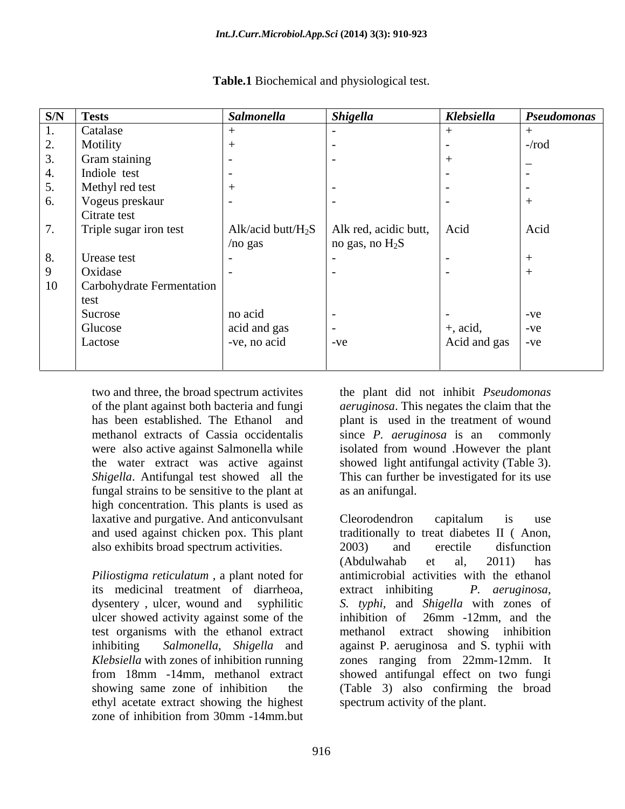| S/N | <b>Tests</b>              | Salmonella            | <b>Shigella</b>       | Klebsiella               | Pseudomonas |
|-----|---------------------------|-----------------------|-----------------------|--------------------------|-------------|
|     | Catalase                  |                       |                       |                          |             |
|     | Motility                  |                       |                       |                          | $-rod$      |
|     | Gram staining             |                       |                       |                          |             |
|     | Indiole test              |                       |                       |                          |             |
|     | Methyl red test           |                       |                       |                          |             |
|     | Vogeus preskaur           |                       |                       |                          |             |
|     | Citrate test              |                       |                       |                          |             |
|     | Triple sugar iron test    | Alk/acid butt/ $H_2S$ | Alk red, acidic butt, | Acid                     | Acid        |
|     |                           | /no gas               | no gas, no $H_2S$     |                          |             |
|     | Urease test               |                       |                       | $\sim$                   |             |
|     | Oxidase                   |                       |                       | $\sim$                   |             |
| 10  | Carbohydrate Fermentation |                       |                       |                          |             |
|     | test                      |                       |                       |                          |             |
|     | Sucrose                   | no acid               |                       |                          | $-ve$       |
|     | Glucose                   | acid and gas          |                       | $+$ , acid,              | $-ve$       |
|     | Lactose                   | -ve, no acid          | $-ve$                 | Acid and gas $\vert$ -ve |             |
|     |                           |                       |                       |                          |             |

**Table.1** Biochemical and physiological test.

two and three, the broad spectrum activites the plant did not inhibit *Pseudomonas*  of the plant against both bacteria and fungi *aeruginosa*. This negates the claim that the has been established. The Ethanol and methanol extracts of Cassia occidentalis since P. *aeruginosa* is an commonly were also active against Salmonella while isolated from wound .However the plant the water extract was active against showed light antifungal activity (Table 3). *Shigella*. Antifungal test showed all the This can further be investigated for its use fungal strains to be sensitive to the plant at high concentration. This plants is used as laxative and purgative. And anticonvulsant Cleorodendron capitalum is use also exhibits broad spectrum activities. 2003) and erectile disfunction

its medicinal treatment of diarrheoa, extract inhibiting P. *aeruginosa*, ulcer showed activity against some of the inhibition of 26mm -12mm, and the test organisms with the ethanol extract *Klebsiella* with zones of inhibition running ethyl acetate extract showing the highest zone of inhibition from 30mm -14mm.but

plant is used in the treatment of wound since *P. aeruginosa* is an commonly as an anifungal.

and used against chicken pox. This plant traditionally to treat diabetes II ( Anon, *Piliostigma reticulatum* , a plant noted for antimicrobial activities with the ethanol dysentery , ulcer, wound and syphilitic *S. typhi,* and *Shigella* with zones of inhibiting *Salmonella*, *Shigella* and against P. aeruginosa and S. typhii with from 18mm -14mm, methanol extract showed antifungal effect on two fungi showing same zone of inhibition the (Table 3) also confirming the broad Cleorodendron capitalum is use 2003) and erectile disfunction (Abdulwahab et al, 2011) has extract inhibiting *P. aeruginosa*, inhibition of 26mm -12mm, and the extract showing inhibition zones ranging from 22mm-12mm. It spectrum activity of the plant.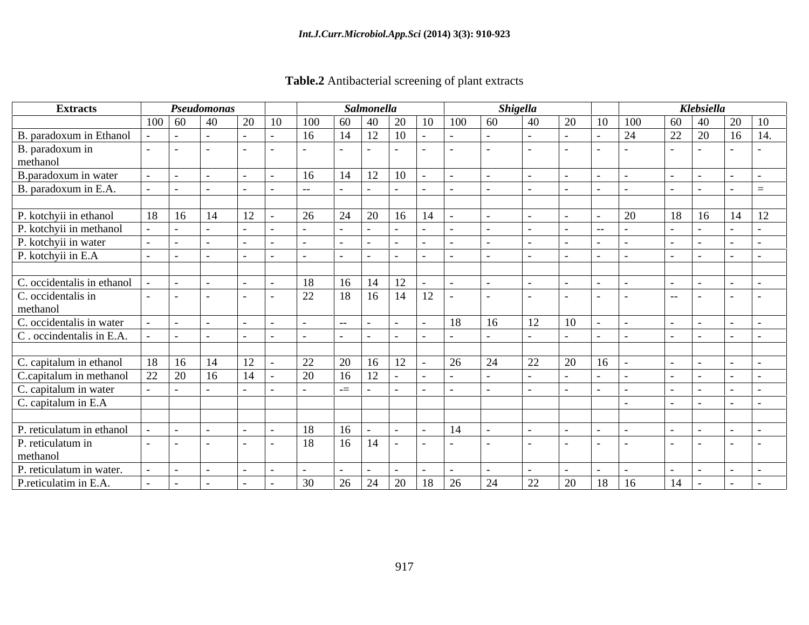| Table.2 A<br>Antibacterial screening of plant extracts<br>Antib |  |  |
|-----------------------------------------------------------------|--|--|
|                                                                 |  |  |

| <b>Extracts</b>             | Pseudomonas           |            |    |            |      |     | <b>Salmonella</b>                                                      |                         |                   |             | <b>Shigella</b> |    |      |            |       | Klebsiella                                                                   |               |  |
|-----------------------------|-----------------------|------------|----|------------|------|-----|------------------------------------------------------------------------|-------------------------|-------------------|-------------|-----------------|----|------|------------|-------|------------------------------------------------------------------------------|---------------|--|
|                             | $100 \mid 60 \mid 40$ |            | 20 | $\vert$ 10 | 100  |     | $\begin{array}{ c c c c c } \hline 60 & 40 & 20 \\ \hline \end{array}$ |                         | $10 \t 100 \t 60$ |             | 40              | 20 | 10   | $\mid$ 100 |       | $\begin{array}{ c c c c c c } \hline 60 & 40 & 20 & 10 \ \hline \end{array}$ |               |  |
| B. paradoxum in Ethanol     |                       |            |    |            | 16   |     | $14$   12   10                                                         |                         |                   |             |                 |    |      | 24         |       | 22 20                                                                        | $16 \mid 14.$ |  |
| B. paradoxum in<br>methanol |                       |            |    |            |      |     |                                                                        |                         |                   |             |                 |    |      |            |       |                                                                              | $\sim$        |  |
|                             |                       |            |    |            |      |     |                                                                        |                         |                   |             |                 |    |      |            |       |                                                                              |               |  |
| B.paradoxum in water        |                       |            |    |            | 16   |     | $14$   $12$   $10$                                                     |                         |                   |             |                 |    |      |            |       |                                                                              |               |  |
| B. paradoxum in E.A.        |                       |            |    |            | $--$ |     |                                                                        |                         |                   |             |                 |    |      |            |       |                                                                              |               |  |
|                             |                       |            |    |            |      |     |                                                                        |                         |                   |             |                 |    |      |            |       |                                                                              |               |  |
| P. kotchyii in ethanol      | $18 \mid 16 \mid 14$  |            | 12 |            | 26   |     | $\sqrt{24}$   20   16   14                                             |                         |                   |             |                 |    |      | 20         |       | $18 \ 16$                                                                    | $14 \mid 12$  |  |
| P. kotchyii in methanol     |                       |            |    |            |      |     |                                                                        |                         |                   |             |                 |    | $ -$ |            |       |                                                                              |               |  |
| P. kotchyii in water        |                       |            |    |            |      |     |                                                                        |                         |                   |             |                 |    |      |            |       |                                                                              |               |  |
| P. kotchyii in E.A          |                       |            |    |            |      |     |                                                                        |                         |                   |             |                 |    |      |            |       |                                                                              |               |  |
|                             |                       |            |    |            |      |     |                                                                        |                         |                   |             |                 |    |      |            |       |                                                                              |               |  |
| C. occidentalis in ethanol  |                       |            |    |            | 18   |     | $16 \mid 14 \mid 12$                                                   |                         |                   |             |                 |    |      |            |       |                                                                              |               |  |
| C. occidentalis in          |                       |            |    |            | 22   |     |                                                                        | $18$   16   14   12   - |                   |             |                 |    |      |            | $- -$ |                                                                              |               |  |
| methanol                    |                       |            |    |            |      |     |                                                                        |                         |                   |             |                 |    |      |            |       |                                                                              |               |  |
| C. occidentalis in water    |                       |            |    |            |      |     | $  -$                                                                  |                         | 18                | 16          | 12              | 10 |      |            |       |                                                                              |               |  |
| C. occindentalis in E.A.    |                       |            |    |            |      |     |                                                                        |                         |                   |             |                 |    |      |            |       |                                                                              |               |  |
|                             |                       |            |    |            |      |     |                                                                        |                         |                   |             |                 |    |      |            |       |                                                                              |               |  |
| C. capitalum in ethanol     | 18   16   14          |            | 12 |            | 22   | 20  | $16 \t12$                                                              |                         | 26                | $\sqrt{24}$ | 22              | 20 | 16   |            |       |                                                                              |               |  |
| C.capitalum in methanol     | 22 20                 | $\vert$ 16 | 14 |            | 20   | 16  | 12                                                                     |                         |                   |             |                 |    |      |            |       |                                                                              |               |  |
| C. capitalum in water       |                       |            |    |            |      | $=$ |                                                                        |                         |                   |             |                 |    |      |            |       |                                                                              |               |  |
| C. capitalum in E.A         |                       |            |    |            |      |     |                                                                        |                         |                   |             |                 |    |      |            |       |                                                                              |               |  |
|                             |                       |            |    |            |      |     |                                                                        |                         |                   |             |                 |    |      |            |       |                                                                              |               |  |
| P. reticulatum in ethanol   |                       |            |    |            | 18   | 16  |                                                                        |                         | 14                |             |                 |    |      |            |       |                                                                              |               |  |
| P. reticulatum in           |                       |            |    |            | 18   |     | $16 \mid 14 \mid -$                                                    |                         |                   |             |                 |    |      |            |       |                                                                              |               |  |
| methanol                    |                       |            |    |            |      |     |                                                                        |                         |                   |             |                 |    |      |            |       |                                                                              |               |  |
| P. reticulatum in water.    |                       |            |    |            |      |     |                                                                        |                         |                   |             |                 |    |      |            |       |                                                                              |               |  |
| P.reticulatim in E.A.       |                       |            |    |            | 30   |     |                                                                        |                         |                   | 24          | 22              | 20 |      | 18   16    | 14    |                                                                              |               |  |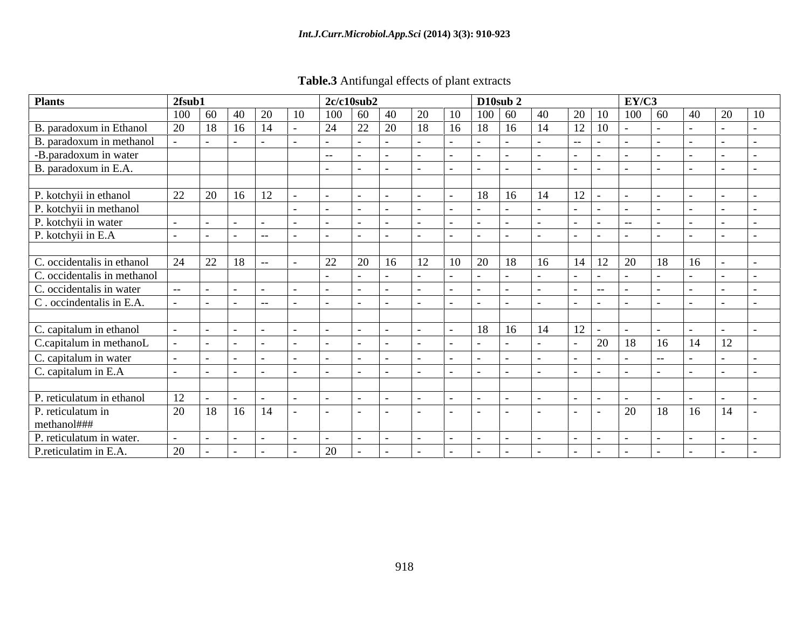| <b>Table.3</b><br>$\cdot$ .<br>' Antifungai | l effects<br>of plant extracts<br>$\cdot$ is $\alpha$ if |  |  |  |
|---------------------------------------------|----------------------------------------------------------|--|--|--|
|                                             |                                                          |  |  |  |

| <b>Plants</b>               | 2fsub1            |                       |    |       |               | 2c/c10sub2    |        |               |    |               | D10sub 2                    |    |                    |                      | EY/C3  |       |            |    |
|-----------------------------|-------------------|-----------------------|----|-------|---------------|---------------|--------|---------------|----|---------------|-----------------------------|----|--------------------|----------------------|--------|-------|------------|----|
|                             |                   | $100 \mid 60 \mid 40$ |    | 20    | <sup>10</sup> | $100 \mid 60$ |        | 40            |    | 10            | $100 \, 60$                 |    |                    | $20 \mid 10$         | 100 60 |       | 40<br>20   | 10 |
| B. paradoxum in Ethanol     | 20                | $18 \mid 16$          |    | 14    |               | 24            | 22     | <sup>20</sup> | 18 | 16            | 18<br>$\vert$ 16            | 14 |                    | 12 10                |        |       |            |    |
| B. paradoxum in methanol    |                   |                       |    |       |               |               |        |               |    |               |                             |    | $\sim$ $ \sim$     |                      |        |       |            |    |
| -B.paradoxum in water       |                   |                       |    |       |               | $- -$         |        |               |    |               |                             |    |                    |                      |        |       |            |    |
| B. paradoxum in E.A.        |                   |                       |    |       |               |               |        |               |    |               | $-$                         |    |                    |                      |        |       |            |    |
|                             |                   |                       |    |       |               |               |        |               |    |               |                             |    |                    |                      |        |       |            |    |
| P. kotchyii in ethanol      | 22                | 20 16                 |    | 12    |               |               |        |               |    |               | 18 16                       | 14 | $\vert$ 12 $\vert$ |                      |        |       |            |    |
| P. kotchyii in methanol     |                   |                       |    |       |               |               |        |               |    |               |                             |    |                    |                      |        |       |            |    |
| P. kotchyii in water        |                   |                       |    |       |               |               |        |               |    |               |                             |    |                    |                      |        |       |            |    |
| P. kotchyii in E.A          |                   |                       |    | $- -$ |               |               |        |               |    |               |                             |    |                    |                      |        |       |            |    |
|                             |                   |                       |    |       |               |               |        |               |    |               |                             |    |                    |                      |        |       |            |    |
| C. occidentalis in ethanol  | 24                | 22                    | 18 |       |               | 22            | 20     | 16            | 12 | 10            | <sup>20</sup><br>$\vert$ 18 | 16 |                    | $14 \mid 12 \mid 20$ |        | 18    | 16         |    |
| C. occidentalis in methanol |                   |                       |    |       |               |               |        |               |    |               |                             |    |                    |                      |        |       |            |    |
| C. occidentalis in water    |                   |                       |    |       |               |               |        |               |    |               |                             |    |                    | $- -$                |        |       |            |    |
| C. occindentalis in E.A.    |                   |                       |    | $- -$ |               |               |        |               |    |               |                             |    |                    |                      |        |       |            |    |
|                             |                   |                       |    |       |               |               |        |               |    |               |                             |    |                    |                      |        |       |            |    |
| C. capitalum in ethanol     |                   |                       |    |       |               |               |        |               |    |               | $18 \mid 16$                | 14 | $ 12 $ .           |                      |        |       |            |    |
| C.capitalum in methanoL     |                   |                       |    |       |               |               |        |               |    |               |                             |    |                    | $\sqrt{20}$          | 18     | 16    | 12<br>14   |    |
| C. capitalum in water       |                   |                       |    |       |               |               |        |               |    |               |                             |    |                    |                      |        |       |            |    |
| C. capitalum in E.A         |                   |                       |    |       |               |               |        |               |    |               |                             |    |                    |                      |        |       |            |    |
|                             |                   |                       |    |       |               |               |        |               |    |               |                             |    |                    |                      |        |       |            |    |
| P. reticulatum in ethanol   | 12                |                       |    |       |               |               |        |               |    |               |                             |    |                    |                      |        |       |            |    |
| P. reticulatum in           | 20   18   16   14 |                       |    |       |               |               | $\sim$ |               |    | $\sim$ $\sim$ | $\sim$                      |    | $\sim$             | $\mathbf{1}$         | 20     | 18 16 | $\vert$ 14 |    |
| methanol###                 |                   |                       |    |       |               |               |        |               |    |               |                             |    |                    |                      |        |       |            |    |
| P. reticulatum in water.    |                   |                       |    |       |               |               |        |               |    |               |                             |    |                    |                      |        |       |            |    |
| P. reticulatim in E.A.      | 20                |                       |    |       |               | 20            |        |               |    |               |                             |    |                    |                      |        |       |            |    |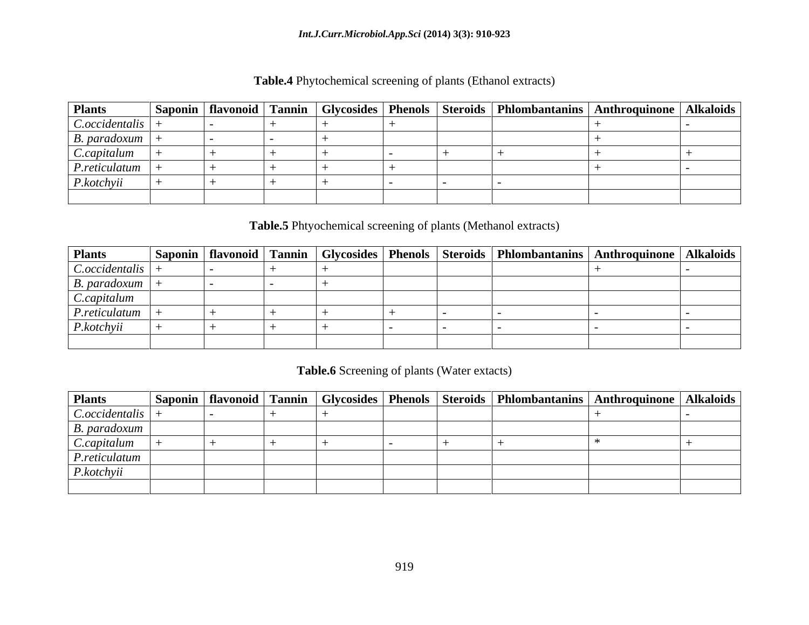| <b>Plants</b>              |  |  |  | Saponin   flavonoid   Tannin   Glycosides   Phenols   Steroids   Phlombantanins   Anthroquinone   Alkaloids |  |
|----------------------------|--|--|--|-------------------------------------------------------------------------------------------------------------|--|
| C.occidentalis             |  |  |  |                                                                                                             |  |
| $\mid$ <i>B.</i> paradoxum |  |  |  |                                                                                                             |  |
| C.capitalum                |  |  |  |                                                                                                             |  |
| P.reticulatum              |  |  |  |                                                                                                             |  |
| P. kotchyii                |  |  |  |                                                                                                             |  |
|                            |  |  |  |                                                                                                             |  |

**Table.4** Phytochemical screening of plants (Ethanol extracts)

### **Table.5** Phtyochemical screening of plants (Methanol extracts)

| <b>Plants</b>       |  |  |  | Saponin   flavonoid   Tannin   Glycosides   Phenols   Steroids   Phlombantanins   Anthroquinone   Alkaloids |  |
|---------------------|--|--|--|-------------------------------------------------------------------------------------------------------------|--|
| $C. occidentalis$ + |  |  |  |                                                                                                             |  |
| $ B.$ paradoxum $ $ |  |  |  |                                                                                                             |  |
| C. capitalum        |  |  |  |                                                                                                             |  |
| P. reticulatum      |  |  |  |                                                                                                             |  |
| P. kotoh yii        |  |  |  |                                                                                                             |  |
|                     |  |  |  |                                                                                                             |  |

### **Table.6** Screening of plants (Water extacts)

| <b>Plants</b>                    |  |  |  | Saponin   flavonoid   Tannin   Glycosides   Phenols   Steroids   Phlombantanins   Anthroquinone   Alkaloids |  |
|----------------------------------|--|--|--|-------------------------------------------------------------------------------------------------------------|--|
| $\vert$ C.occidentalis $\vert$ - |  |  |  |                                                                                                             |  |
| B. paradoxum                     |  |  |  |                                                                                                             |  |
| C.capitalum                      |  |  |  |                                                                                                             |  |
| P. reticulatum                   |  |  |  |                                                                                                             |  |
| P. kotchyii                      |  |  |  |                                                                                                             |  |
|                                  |  |  |  |                                                                                                             |  |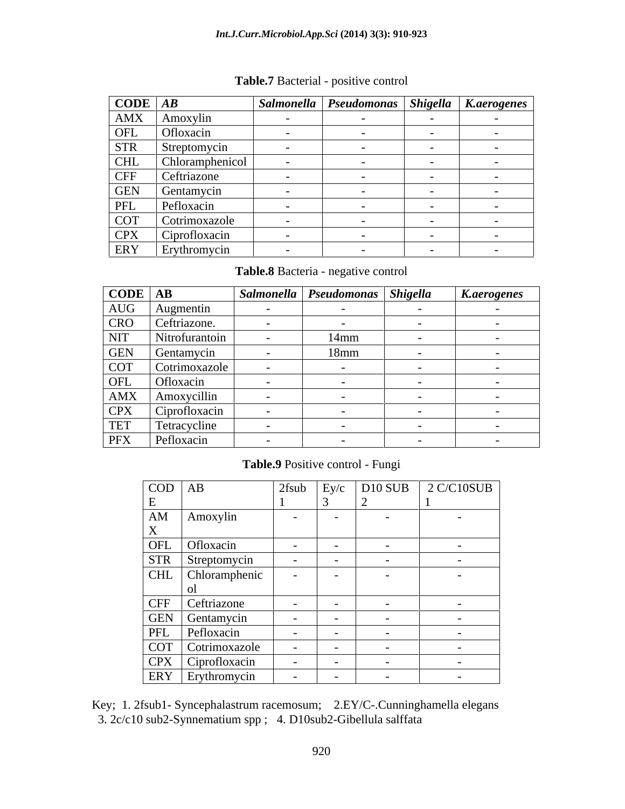### *Int.J.Curr.Microbiol.App.Sci* **(2014) 3(3): 910-923**

| $\overline{CODE}$ $AB$ |                     |                          | Salmonella   Pseudomonas   Shigella   K.aerogenes |  |
|------------------------|---------------------|--------------------------|---------------------------------------------------|--|
| AMX                    | Amoxylin            |                          |                                                   |  |
| OFL                    | Ofloxacin           | $\sim$                   | $\sim$                                            |  |
| <b>STR</b>             | Streptomycin        |                          |                                                   |  |
| <b>CHL</b>             | Chloramphenicol     |                          |                                                   |  |
| <b>CFF</b>             | Ceftriazone         |                          |                                                   |  |
| <b>GEN</b>             | Gentamycin          | $\sim$                   |                                                   |  |
| PFL                    | Pefloxacin          | $\sim$                   |                                                   |  |
| <b>COT</b>             | Cotrimoxazole       | $\overline{\phantom{0}}$ |                                                   |  |
| <b>CPX</b>             | Ciprofloxacin       | $\sim$                   |                                                   |  |
| ERY                    | <b>Erythromycin</b> |                          |                                                   |  |

**Table.7** Bacterial - positive control

**Table.8** Bacteria - negative control

| $\vert$ CODE $\vert$ AB |                                   | Salmonella   Pseudomonas   Shigella | <b>K.aerogenes</b> |
|-------------------------|-----------------------------------|-------------------------------------|--------------------|
|                         | AUG Augmentin<br>CRO Ceftriazone. |                                     |                    |
|                         |                                   |                                     |                    |
| <b>NIT</b>              | Nitrofurantoin                    | $14$ mm                             |                    |
|                         | GEN Gentamycin                    | $18$ mm                             |                    |
|                         | COT Cotrimoxazole                 |                                     |                    |
|                         | OFL Ofloxacin                     |                                     |                    |
|                         | AMX   Amoxycillin                 |                                     |                    |
|                         | CPX Ciprofloxacin                 |                                     |                    |
| <b>TET</b>              | Tetracycline                      |                                     |                    |
| PFX                     | Pefloxacin                        |                                     |                    |

### **Table.9** Positive control - Fungi

| $COD$ AB                         |                                        |               |  | $2$ fsub Ey/c D10 SUB 2 C/C10SUB |
|----------------------------------|----------------------------------------|---------------|--|----------------------------------|
|                                  |                                        |               |  |                                  |
| AM   Amoxylin                    |                                        |               |  |                                  |
|                                  |                                        |               |  |                                  |
| OFL Ofloxacin                    |                                        |               |  | $\sim$                           |
| STR Streptomycin                 |                                        |               |  | $\sim$                           |
|                                  | CHL Chloramphenic                      |               |  |                                  |
|                                  |                                        |               |  |                                  |
| CFF Ceftriazone                  |                                        | $\sim$ $\sim$ |  |                                  |
|                                  |                                        |               |  | $\sim$ $\sim$                    |
| GEN Gentamycin<br>PFL Pefloxacin |                                        |               |  |                                  |
|                                  | COT Cotrimoxazole<br>CPX Ciprofloxacin |               |  |                                  |
|                                  |                                        |               |  | $\sim$ $-$                       |
| ERY Erythromycin                 |                                        |               |  |                                  |

Key; 1. 2fsub1- Syncephalastrum racemosum; 2.EY/C-.Cunninghamella elegans 3. 2c/c10 sub2-Synnematium spp ; 4. D10sub2-Gibellula salffata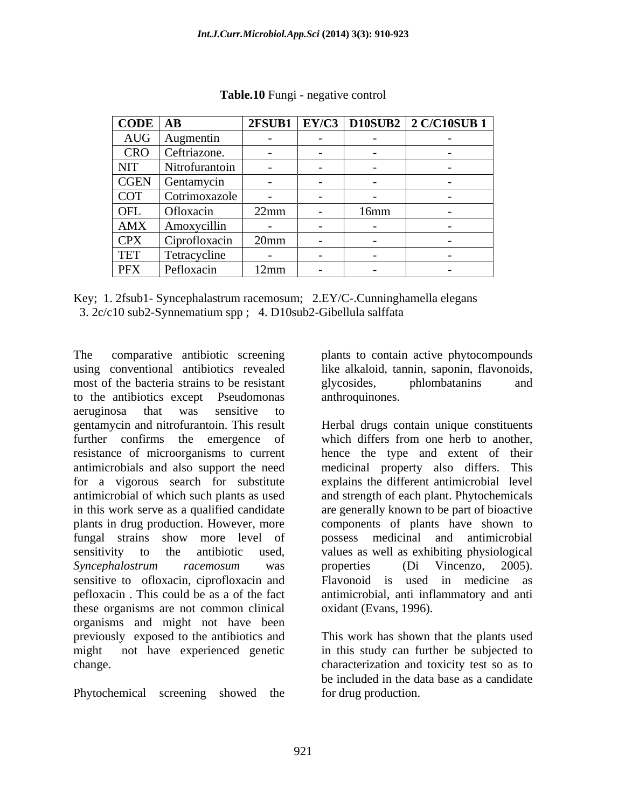| $\overline{CODE}$ AB |                                                         |      |      | $\boxed{\left  \begin{array}{c c} 2 \text{FSUB1} & \text{EY/C3} & \text{D10SUB2} & 2 \text{ C/C10SUB1} \end{array} \right  }$ |
|----------------------|---------------------------------------------------------|------|------|-------------------------------------------------------------------------------------------------------------------------------|
|                      | AUG Augmentin                                           |      |      |                                                                                                                               |
|                      |                                                         |      |      |                                                                                                                               |
|                      | CRO Ceftriazone.<br>NIT Nitrofurantoi<br>Nitrofurantoin |      |      |                                                                                                                               |
|                      | CGEN Gentamycin                                         |      |      |                                                                                                                               |
|                      | COT Cotrimoxazole                                       |      |      |                                                                                                                               |
| OFL                  | Ofloxacin                                               | 22mm | 16mm |                                                                                                                               |
|                      | AMX Amoxycillin                                         |      |      |                                                                                                                               |
|                      | CPX Ciprofloxacin 20mm                                  |      |      |                                                                                                                               |
| TET                  | Tetracycline                                            |      |      |                                                                                                                               |
| PFX                  | Pefloxacin                                              | 12mm |      |                                                                                                                               |

**Table.10** Fungi - negative control

| Key; 1. 2fsub1-<br>2.EY/C-.Cunninghamella elegans<br>- Syncephalastrum racemosum; |
|-----------------------------------------------------------------------------------|
| 100<br>3. $2c/c10$ sub2-Synnematium spp;<br>l. D10sub2-Gibellula salffata         |

The comparative antibiotic screening plants to contain active phytocompounds using conventional antibiotics revealed like alkaloid, tannin, saponin, flavonoids, most of the bacteria strains to be resistant glycosides, phlombatanins and to the antibiotics except Pseudomonas aeruginosa that was sensitive to gentamycin and nitrofurantoin. This result further confirms the emergence of which differs from one herb to another, resistance of microorganisms to current hence the type and extent of their antimicrobials and also support the need medicinal property also differs. This for a vigorous search for substitute explains the different antimicrobial level antimicrobial of which such plants as used and strength of each plant. Phytochemicals in this work serve as a qualified candidate are generally known to be part of bioactive plants in drug production. However, more components of plants have shown to fungal strains show more level of possess medicinal and antimicrobial sensitivity to the antibiotic used, values as well as exhibiting physiological *Syncephalostrum racemosum* was sensitive to ofloxacin, ciprofloxacin and pefloxacin . This could be as a of the fact antimicrobial, anti inflammatory and anti these organisms are not common clinical organisms and might not have been previously exposed to the antibiotics and This work has shown that the plants used might not have experienced genetic in this study can further be subjected to

Phytochemical screening showed the

glycosides, phlombatanins and anthroquinones.

Herbal drugs contain unique constituents which differs from one herb to another, properties (Di Vincenzo, 2005). Flavonoid is used in medicine as oxidant (Evans, 1996).

change. characterization and toxicity test so as to be included in the data base as a candidate for drug production.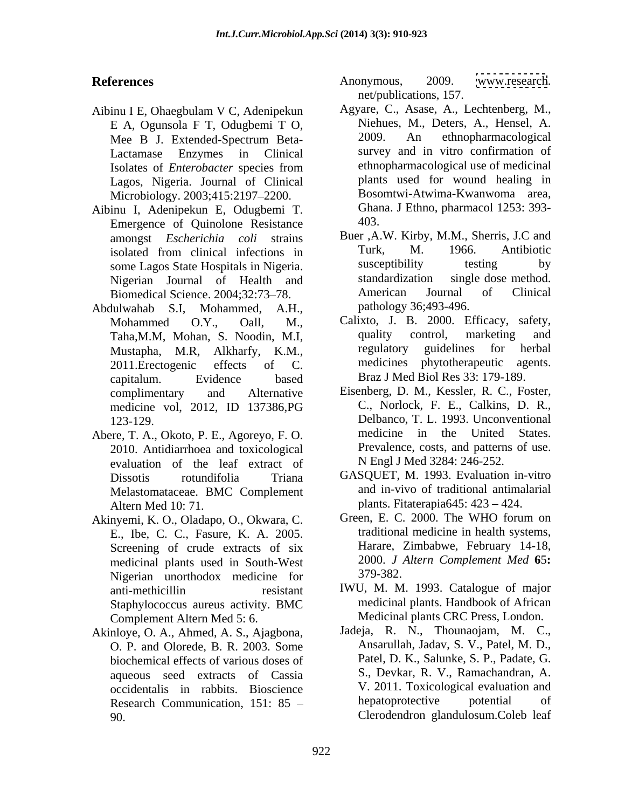- Aibinu I E, Ohaegbulam V C, Adenipekun Lagos, Nigeria. Journal of Clinical Microbiology. 2003;415:2197-2200.
- Aibinu I, Adenipekun E, Odugbemi T.<br>
Fmergence of Ouinolone Resistance 403. Emergence of Quinolone Resistance Biomedical Science. 2004;32:73-78.
- Abdulwahab S.I, Mohammed, A.H., Mustapha, M.R, Alkharfy, K.M., capitalum. Evidence based Braz J Med Biol Res 33: 179-189.
- Abere, T. A., Okoto, P. E., Agoreyo, F. O. 2010. Antidiarrhoea and toxicological evaluation of the leaf extract of Melastomataceae. BMC Complement Altern Med 10: 71. **plants.** Fitaterapia645: 423 – 424.
- E., Ibe, C. C., Fasure, K. A. 2005. Screening of crude extracts of six medicinal plants used in South-West 2000. J.<br>Nigerian unorthodox medicine for 379-382. Nigerian unorthodox medicine for Staphylococcus aureus activity. BMC Complement Altern Med 5: 6.
- biochemical effects of various doses of aqueous seed extracts of Cassia Research Communication, 151: 85 90. Clerodendron glandulosum.Coleb leaf

References **References** Anonymous, 2009. www.research. Anonymous, 2009. [www.research](http://www.research). net/publications, 157.

- E A, Ogunsola F T, Odugbemi T O, Niehues, M., Deters, A., Hensel, A.<br>Mee B J Extended-Spectrum Beta- 2009. An ethnopharmacological Mee B J. Extended-Spectrum Beta- 2009. An ethnopharmacological Lactamase Enzymes in Clinical survey and in vitro confirmation of Isolates of *Enterobacter* species from Agyare, C., Asase, A., Lechtenberg, M., Niehues, M., Deters, A., Hensel, A. 2009. An ethnopharmacological ethnopharmacological use of medicinal plants used for wound healing in Bosomtwi-Atwima-Kwanwoma area, Ghana. J Ethno, pharmacol 1253: 393- 403.
- amongst *Escherichia coli* strains Buer ,A.W. Kirby, M.M., Sherris, J.C and isolated from clinical infections in Turk, M. 1966. Antibiotic some Lagos State Hospitals in Nigeria susceptibility testing by some Lagos State Hospitals in Nigeria. Susceptibility testing by<br>Nigerian Journal of Health and standardization single dose method. Nigerian Journal of Health and standardization single-dose-method.<br>
Biomedical Science 2004:32:73–78. American Journal of Clinical Turk, M. 1966. Antibiotic susceptibility testing by standardization single dose method. American Journal of Clinical pathology 36;493-496.
- Mohammed O.Y., Oall, M., Calixto, J. B. 2000. Efficacy, safety, Taha,M.M, Mohan, S. Noodin, M.I, quality control, marketing and<br>Mustapha M.R. Alkharfy K.M. regulatory guidelines for herbal 2011.Erectogenic effects of C. medicines phytotherapeutic agents. quality control, marketing and regulatory guidelines for herbal Braz J Med Biol Res 33: 179-189.
- complimentary and Alternative Eisenberg, D. M., Kessler, R. C., Foster, medicine vol, 2012, ID 137386, PG C., Norlock, F. E., Calkins, D. R., 123-129. Delbanco, T. L. 1993. Unconventional C., Norlock, F. E., Calkins, D. R., medicine in the United States. Prevalence, costs, and patterns of use. N Engl J Med 3284: 246-252.
- Dissotis rotundifolia Triana GASQUET, M. 1993. Evaluation in-vitro and in-vivo of traditional antimalarial
- Akinyemi, K. O., Oladapo, O., Okwara, C. Green, E. C. 2000. The WHO forum on traditional medicine in health systems, Harare, Zimbabwe, February 14-18, 2000. *J Altern Complement Med* **6**5**:**  379-382.
	- anti-methicillin resistant IWU, M. M. 1993. Catalogue of major medicinal plants. Handbook of African Medicinal plants CRC Press, London.
- Akinloye, O. A., Ahmed, A. S., Ajagbona, Jadeja, R. N., Thounaojam, M. C., O. P. and Olorede, B. R. 2003. Some Ansarullah, Jadav, S. V., Patel, M. D., occidentalis in rabbits. Bioscience V. 2011. Toxicological evaluation and<br>Research Communication 151: 85 – hepatoprotective potential of Jadeja, R. N., Thounaojam, M. C., Ansarullah, Jadav, S. V., Patel, M. D., Patel, D. K., Salunke, S. P., Padate, G. S., Devkar, R. V., Ramachandran, A. V. 2011. Toxicological evaluation and hepatoprotective potential of